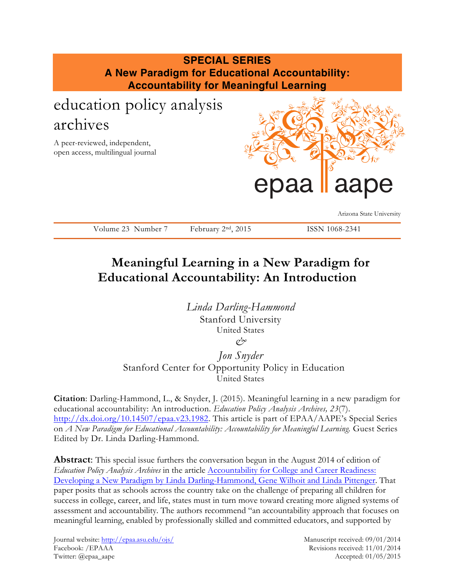# **SPECIAL SERIES A New Paradigm for Educational Accountability: Accountability for Meaningful Learning** education policy analysis archives A peer-reviewed, independent, open access, multilingual journal Arizona State University Volume 23 Number 7 February 2<sup>nd</sup>, 2015 ISSN 1068-2341 epaa laape

## **Meaningful Learning in a New Paradigm for Educational Accountability: An Introduction**

*Linda Darling-Hammond* Stanford University United States

*&*

*Jon Snyder* Stanford Center for Opportunity Policy in Education United States

**Citation**: Darling-Hammond, L., & Snyder, J. (2015). Meaningful learning in a new paradigm for educational accountability: An introduction. *Education Policy Analysis Archives, 23*(7). http://dx.doi.org/10.14507/epaa.v23.1982. This article is part of EPAA/AAPE's Special Series on *A New Paradigm for Educational Accountability: Accountability for Meaningful Learning.* Guest Series Edited by Dr. Linda Darling-Hammond.

**Abstract**: This special issue furthers the conversation begun in the August 2014 of edition of *Education Policy Analysis Archives* in the article Accountability for College and Career Readiness: Developing a New Paradigm by Linda Darling-Hammond, Gene Wilhoit and Linda Pittenger. That paper posits that as schools across the country take on the challenge of preparing all children for success in college, career, and life, states must in turn move toward creating more aligned systems of assessment and accountability. The authors recommend "an accountability approach that focuses on meaningful learning, enabled by professionally skilled and committed educators, and supported by

Journal website: http://epaa.asu.edu/ojs/ Manuscript received: 09/01/2014 Facebook: /EPAAA Revisions received: 11/01/2014 Twitter: @epaa\_aape Accepted: 01/05/2015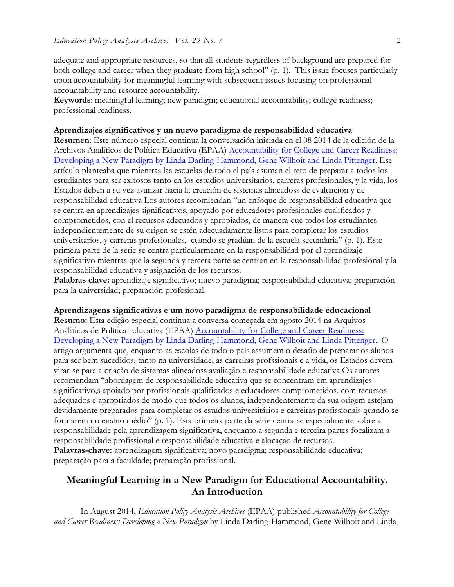adequate and appropriate resources, so that all students regardless of background are prepared for both college and career when they graduate from high school" (p. 1). This issue focuses particularly upon accountability for meaningful learning with subsequent issues focusing on professional accountability and resource accountability.

**Keywords**: meaningful learning; new paradigm; educational accountability; college readiness; professional readiness.

#### **Aprendizajes significativos y un nuevo paradigma de responsabilidad educativa**

**Resumen**: Este número especial continua la conversación iniciada en el 08 2014 de la edición de la Archivos Analíticos de Política Educativa (EPAA) Accountability for College and Career Readiness: Developing a New Paradigm by Linda Darling-Hammond, Gene Wilhoit and Linda Pittenger. Ese artículo planteaba que mientras las escuelas de todo el país asuman el reto de preparar a todos los estudiantes para ser exitosos tanto en los estudios universitarios, carreras profesionales, y la vida, los Estados deben a su vez avanzar hacia la creación de sistemas alineadoss de evaluación y de responsabilidad educativa Los autores recomiendan "un enfoque de responsabilidad educativa que se centra en aprendizajes significativos, apoyado por educadores profesionales cualificados y comprometidos, con el recursos adecuados y apropiados, de manera que todos los estudiantes independientemente de su origen se estén adecuadamente listos para completar los estudios universitarios, y carreras profesionales, cuando se gradúan de la escuela secundaria" (p. 1). Este primera parte de la serie se centra particularmente en la responsabilidad por el aprendizaje significativo mientras que la segunda y tercera parte se centran en la responsabilidad profesional y la responsabilidad educativa y asignación de los recursos.

**Palabras clave:** aprendizaje significativo; nuevo paradigma; responsabilidad educativa; preparación para la universidad; preparación profesional.

#### **Aprendizagens significativas e um novo paradigma de responsabilidade educacional**

**Resumo:** Esta edição especial continua a conversa começada em agosto 2014 na Arquivos Análiticos de Política Educativa (EPAA) Accountability for College and Career Readiness: Developing a New Paradigm by Linda Darling-Hammond, Gene Wilhoit and Linda Pittenger.. O artigo argumenta que, enquanto as escolas de todo o país assumem o desafio de preparar os alunos para ser bem sucedidos, tanto na universidade, as carreiras profssionais e a vida, os Estados devem virar-se para a criação de sistemas alineadoss avaliação e responsabilidade educativa Os autores recomendam "abordagem de responsabilidade educativa que se concentram em aprendizajes significativo,s apoiado por profissionais qualificados e educadores comprometidos, com recursos adequados e apropriados de modo que todos os alunos, independentemente da sua origem estejam devidamente preparados para completar os estudos universitários e carreiras profissionais quando se formarem no ensino médio" (p. 1). Esta primeira parte da série centra-se especialmente sobre a responsabilidade pela aprendizagem significativa, enquanto a segunda e terceira partes focalizam a responsabilidade profissional e responsabilidade educativa e alocação de recursos. **Palavras-chave:** aprendizagem significativa; novo paradigma; responsabilidade educativa; preparação para a faculdade; preparação profissional.

## **Meaningful Learning in a New Paradigm for Educational Accountability. An Introduction**

In August 2014, *Education Policy Analysis Archives* (EPAA) published *Accountability for College and Career Readiness: Developing a New Paradigm* by Linda Darling-Hammond, Gene Wilhoit and Linda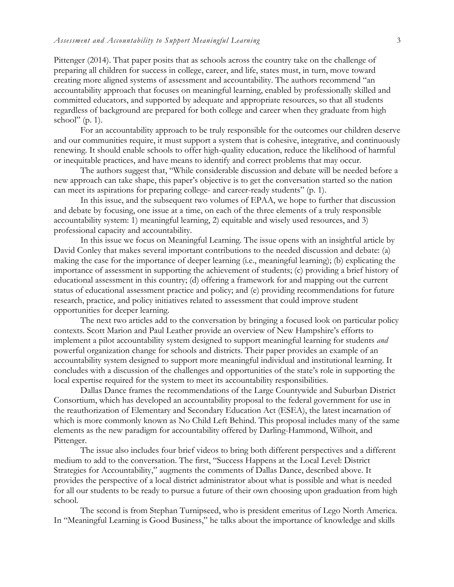Pittenger (2014). That paper posits that as schools across the country take on the challenge of preparing all children for success in college, career, and life, states must, in turn, move toward creating more aligned systems of assessment and accountability. The authors recommend "an accountability approach that focuses on meaningful learning, enabled by professionally skilled and committed educators, and supported by adequate and appropriate resources, so that all students regardless of background are prepared for both college and career when they graduate from high school"  $(p. 1)$ .

For an accountability approach to be truly responsible for the outcomes our children deserve and our communities require, it must support a system that is cohesive, integrative, and continuously renewing. It should enable schools to offer high-quality education, reduce the likelihood of harmful or inequitable practices, and have means to identify and correct problems that may occur.

The authors suggest that, "While considerable discussion and debate will be needed before a new approach can take shape, this paper's objective is to get the conversation started so the nation can meet its aspirations for preparing college- and career-ready students" (p. 1).

In this issue, and the subsequent two volumes of EPAA, we hope to further that discussion and debate by focusing, one issue at a time, on each of the three elements of a truly responsible accountability system: 1) meaningful learning, 2) equitable and wisely used resources, and 3) professional capacity and accountability.

In this issue we focus on Meaningful Learning. The issue opens with an insightful article by David Conley that makes several important contributions to the needed discussion and debate: (a) making the case for the importance of deeper learning (i.e., meaningful learning); (b) explicating the importance of assessment in supporting the achievement of students; (c) providing a brief history of educational assessment in this country; (d) offering a framework for and mapping out the current status of educational assessment practice and policy; and (e) providing recommendations for future research, practice, and policy initiatives related to assessment that could improve student opportunities for deeper learning.

The next two articles add to the conversation by bringing a focused look on particular policy contexts. Scott Marion and Paul Leather provide an overview of New Hampshire's efforts to implement a pilot accountability system designed to support meaningful learning for students *and* powerful organization change for schools and districts. Their paper provides an example of an accountability system designed to support more meaningful individual and institutional learning. It concludes with a discussion of the challenges and opportunities of the state's role in supporting the local expertise required for the system to meet its accountability responsibilities.

Dallas Dance frames the recommendations of the Large Countywide and Suburban District Consortium, which has developed an accountability proposal to the federal government for use in the reauthorization of Elementary and Secondary Education Act (ESEA), the latest incarnation of which is more commonly known as No Child Left Behind. This proposal includes many of the same elements as the new paradigm for accountability offered by Darling-Hammond, Wilhoit, and Pittenger.

The issue also includes four brief videos to bring both different perspectives and a different medium to add to the conversation. The first, "Success Happens at the Local Level: District Strategies for Accountability," augments the comments of Dallas Dance, described above. It provides the perspective of a local district administrator about what is possible and what is needed for all our students to be ready to pursue a future of their own choosing upon graduation from high school.

The second is from Stephan Turnipseed, who is president emeritus of Lego North America. In "Meaningful Learning is Good Business," he talks about the importance of knowledge and skills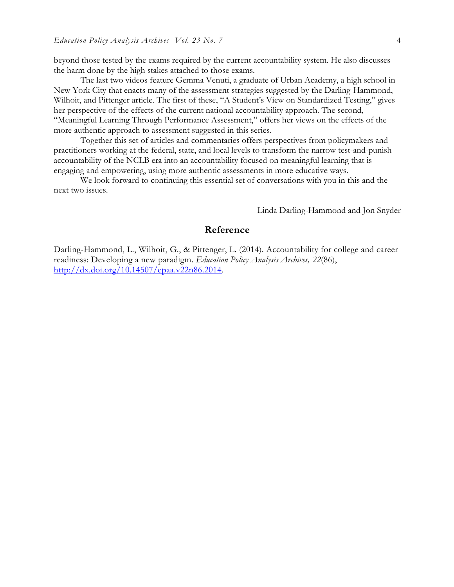beyond those tested by the exams required by the current accountability system. He also discusses the harm done by the high stakes attached to those exams.

The last two videos feature Gemma Venuti, a graduate of Urban Academy, a high school in New York City that enacts many of the assessment strategies suggested by the Darling-Hammond, Wilhoit, and Pittenger article. The first of these, "A Student's View on Standardized Testing," gives her perspective of the effects of the current national accountability approach. The second, "Meaningful Learning Through Performance Assessment," offers her views on the effects of the more authentic approach to assessment suggested in this series.

Together this set of articles and commentaries offers perspectives from policymakers and practitioners working at the federal, state, and local levels to transform the narrow test-and-punish accountability of the NCLB era into an accountability focused on meaningful learning that is engaging and empowering, using more authentic assessments in more educative ways.

We look forward to continuing this essential set of conversations with you in this and the next two issues.

Linda Darling-Hammond and Jon Snyder

#### **Reference**

Darling-Hammond, L., Wilhoit, G., & Pittenger, L. (2014). Accountability for college and career readiness: Developing a new paradigm. *Education Policy Analysis Archives, 22*(86), http://dx.doi.org/10.14507/epaa.v22n86.2014.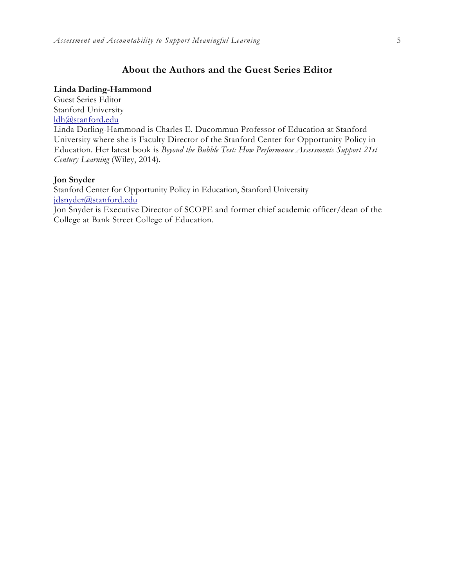## **About the Authors and the Guest Series Editor**

#### **Linda Darling-Hammond**

Guest Series Editor Stanford University ldh@stanford.edu

Linda Darling-Hammond is Charles E. Ducommun Professor of Education at Stanford University where she is Faculty Director of the Stanford Center for Opportunity Policy in Education. Her latest book is *Beyond the Bubble Test: How Performance Assessments Support 21st Century Learning* (Wiley, 2014).

#### **Jon Snyder**

Stanford Center for Opportunity Policy in Education, Stanford University jdsnyder@stanford.edu

Jon Snyder is Executive Director of SCOPE and former chief academic officer/dean of the College at Bank Street College of Education.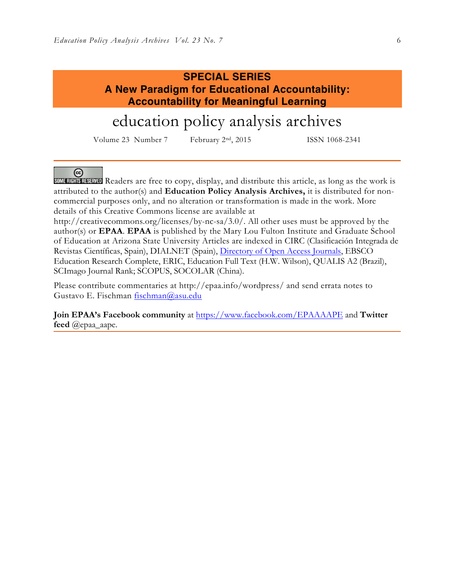## **SPECIAL SERIES A New Paradigm for Educational Accountability: Accountability for Meaningful Learning**

## education policy analysis archives

Volume 23 Number 7 February 2<sup>nd</sup>, 2015 ISSN 1068-2341

### $\left($ cc $\right)$

SOME RIGHTS RESERVED Readers are free to copy, display, and distribute this article, as long as the work is attributed to the author(s) and **Education Policy Analysis Archives,** it is distributed for noncommercial purposes only, and no alteration or transformation is made in the work. More details of this Creative Commons license are available at

http://creativecommons.org/licenses/by-nc-sa/3.0/. All other uses must be approved by the author(s) or **EPAA**. **EPAA** is published by the Mary Lou Fulton Institute and Graduate School of Education at Arizona State University Articles are indexed in CIRC (Clasificación Integrada de Revistas Científicas, Spain), DIALNET (Spain), Directory of Open Access Journals, EBSCO Education Research Complete, ERIC, Education Full Text (H.W. Wilson), QUALIS A2 (Brazil), SCImago Journal Rank; SCOPUS, SOCOLAR (China).

Please contribute commentaries at http://epaa.info/wordpress/ and send errata notes to Gustavo E. Fischman fischman@asu.edu

**Join EPAA's Facebook community** at https://www.facebook.com/EPAAAAPE and **Twitter feed** @epaa\_aape.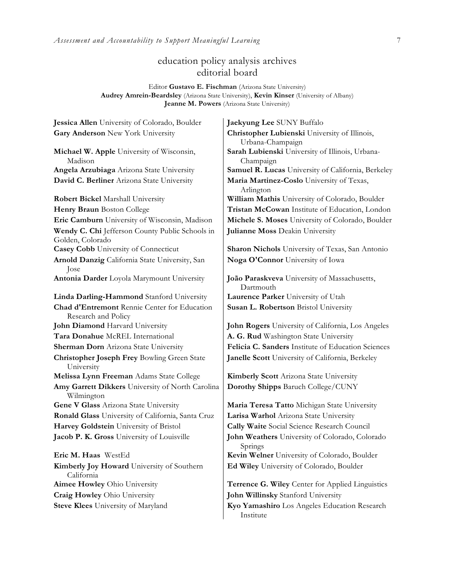## education policy analysis archives editorial board

Editor **Gustavo E. Fischman** (Arizona State University) **Audrey Amrein-Beardsley** (Arizona State University), **Kevin Kinser** (University of Albany) **Jeanne M. Powers** (Arizona State University)

**Gary Anderson** New York University **Christopher Lubienski** University of Illinois, **Michael W. Apple** University of Wisconsin, Madison **Angela Arzubiaga** Arizona State University **Samuel R. Lucas** University of California, Berkeley **David C. Berliner** Arizona State University **Maria Martinez-Coslo** University of Texas, **Robert Bickel Marshall University William Mathis University of Colorado, Boulder Henry Braun** Boston College **Tristan McCowan** Institute of Education, London **Eric Camburn** University of Wisconsin, Madison **Michele S. Moses** University of Colorado, Boulder **Wendy C. Chi** Jefferson County Public Schools in Golden, Colorado **Casey Cobb** University of Connecticut **Sharon Nichols** University of Texas, San Antonio **Arnold Danzig** California State University, San Jose **Antonia Darder** Loyola Marymount University **João Paraskveva** University of Massachusetts, **Linda Darling-Hammond** Stanford University **Laurence Parker** University of Utah **Chad d'Entremont** Rennie Center for Education Research and Policy **John Diamond** Harvard University **John Rogers** University of California, Los Angeles **Tara Donahue** McREL International **A. G. Rud** Washington State University **Sherman Dorn** Arizona State University **Felicia C. Sanders** Institute of Education Sciences **Christopher Joseph Frey** Bowling Green State University **Melissa Lynn Freeman** Adams State College **Kimberly Scott** Arizona State University **Amy Garrett Dikkers** University of North Carolina Wilmington **Gene V Glass** Arizona State University **Maria Teresa Tatto** Michigan State University **Ronald Glass** University of California, Santa Cruz **Larisa Warhol** Arizona State University **Harvey Goldstein** University of Bristol **Cally Waite** Social Science Research Council **Jacob P. K. Gross** University of Louisville **John Weathers** University of Colorado, Colorado **Eric M. Haas** WestEd **Kevin Welner** University of Colorado, Boulder **Kimberly Joy Howard** University of Southern California **Aimee Howley** Ohio University **Terrence G. Wiley** Center for Applied Linguistics

**Jessica Allen** University of Colorado, Boulder **Jaekyung Lee** SUNY Buffalo Urbana-Champaign **Sarah Lubienski** University of Illinois, Urbana-Champaign Arlington **Julianne Moss** Deakin University

**Noga O'Connor** University of Iowa

Dartmouth **Susan L. Robertson** Bristol University

**Janelle Scott** University of California, Berkeley

**Dorothy Shipps** Baruch College/CUNY

Springs **Ed Wiley** University of Colorado, Boulder

**Craig Howley** Ohio University **John Willinsky** Stanford University

**Steve Klees** University of Maryland **Kyo Yamashiro** Los Angeles Education Research Institute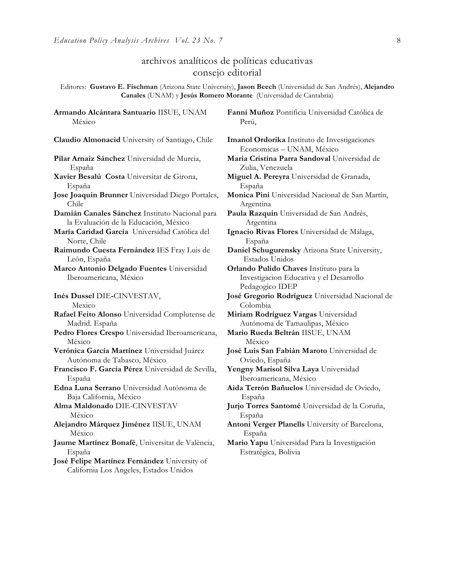**Armando Alcántara Santuario** IISUE, UNAM

## archivos analíticos de políticas educativas consejo editorial

Editores: **Gustavo E. Fischman** (Arizona State University), **Jason Beech** (Universidad de San Andrés), **Alejandro Canales** (UNAM) y **Jesús Romero Morante** (Universidad de Cantabria)

México **Claudio Almonacid** University of Santiago, Chile **Imanol Ordorika** Instituto de Investigaciones **Pilar Arnaiz Sánchez** Universidad de Murcia, España **Xavier Besalú Costa** Universitat de Girona, España **Jose Joaquin Brunner** Universidad Diego Portales, Chile **Damián Canales Sánchez** Instituto Nacional para la Evaluación de la Educación, México **María Caridad García** Universidad Católica del Norte, Chile **Raimundo Cuesta Fernández** IES Fray Luis de León, España **Marco Antonio Delgado Fuentes** Universidad Iberoamericana, México **Inés Dussel** DIE**-**CINVESTAV, Mexico **Rafael Feito Alonso** Universidad Complutense de Madrid. España **Pedro Flores Crespo** Universidad Iberoamericana, México **Verónica García Martínez** Universidad Juárez Autónoma de Tabasco, México **Francisco F. García Pérez** Universidad de Sevilla, España **Edna Luna Serrano** Universidad Autónoma de Baja California, México **Alma Maldonado** DIE-CINVESTAV México **Alejandro Márquez Jiménez** IISUE, UNAM México **Jaume Martínez Bonafé**, Universitat de València,

España **José Felipe Martínez Fernández** University of California Los Angeles, Estados Unidos

**Fanni Muñoz** Pontificia Universidad Católica de Perú,

Economicas – UNAM, México **Maria Cristina Parra Sandoval** Universidad de Zulia, Venezuela **Miguel A. Pereyra** Universidad de Granada, España **Monica Pini** Universidad Nacional de San Martín, Argentina **Paula Razquin** Universidad de San Andrés, Argentina **Ignacio Rivas Flores** Universidad de Málaga, España **Daniel Schugurensky** Arizona State University, Estados Unidos **Orlando Pulido Chaves** Instituto para la Investigacion Educativa y el Desarrollo Pedagogico IDEP **José Gregorio Rodríguez** Universidad Nacional de Colombia **Miriam Rodríguez Vargas** Universidad Autónoma de Tamaulipas, México **Mario Rueda Beltrán** IISUE, UNAM México **José Luis San Fabián Maroto** Universidad de Oviedo, España **Yengny Marisol Silva Laya** Universidad Iberoamericana, México **Aida Terrón Bañuelos** Universidad de Oviedo, España **Jurjo Torres Santomé** Universidad de la Coruña, España **Antoni Verger Planells** University of Barcelona, España **Mario Yapu** Universidad Para la Investigación Estratégica, Bolivia